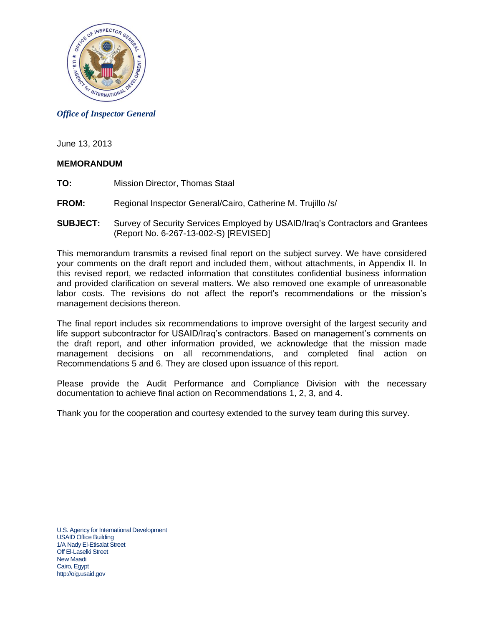

#### *Office of Inspector General*

June 13, 2013

#### **MEMORANDUM**

- **TO:** Mission Director, Thomas Staal
- **FROM:** Regional Inspector General/Cairo, Catherine M. Trujillo /s/
- **SUBJECT:** Survey of Security Services Employed by USAID/Iraq's Contractors and Grantees (Report No. 6-267-13-002-S) [REVISED]

This memorandum transmits a revised final report on the subject survey. We have considered your comments on the draft report and included them, without attachments, in Appendix II. In this revised report, we redacted information that constitutes confidential business information and provided clarification on several matters. We also removed one example of unreasonable labor costs. The revisions do not affect the report's recommendations or the mission's management decisions thereon.

The final report includes six recommendations to improve oversight of the largest security and life support subcontractor for USAID/Iraq's contractors. Based on management's comments on the draft report, and other information provided, we acknowledge that the mission made management decisions on all recommendations, and completed final action on Recommendations 5 and 6. They are closed upon issuance of this report.

Please provide the Audit Performance and Compliance Division with the necessary documentation to achieve final action on Recommendations 1, 2, 3, and 4.

Thank you for the cooperation and courtesy extended to the survey team during this survey.

U.S. Agency for International Development USAID Office Building 1/A Nady El-Etisalat Street Off El-Laselki Street New Maadi Cairo, Egypt http://oig.usaid.gov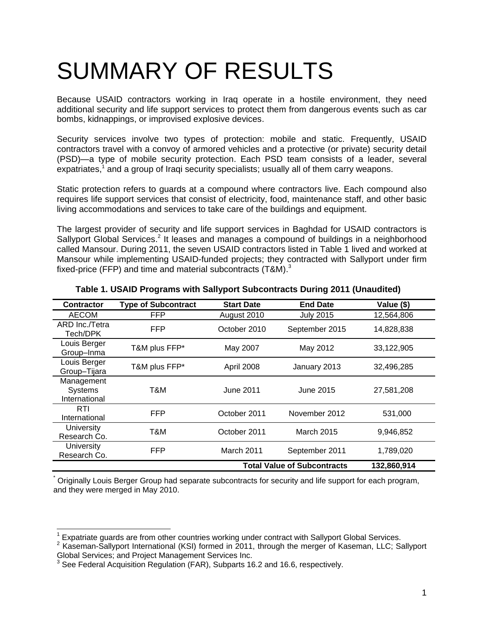# SUMMARY OF RESULTS

Because USAID contractors working in Iraq operate in a hostile environment, they need additional security and life support services to protect them from dangerous events such as car bombs, kidnappings, or improvised explosive devices.

Security services involve two types of protection: mobile and static. Frequently, USAID contractors travel with a convoy of armored vehicles and a protective (or private) security detail (PSD)—a type of mobile security protection. Each PSD team consists of a leader, several expatriates,<sup>1</sup> and a group of Iraqi security specialists; usually all of them carry weapons.

Static protection refers to guards at a compound where contractors live. Each compound also requires life support services that consist of electricity, food, maintenance staff, and other basic living accommodations and services to take care of the buildings and equipment.

The largest provider of security and life support services in Baghdad for USAID contractors is Sallyport Global Services.<sup>2</sup> It leases and manages a compound of buildings in a neighborhood called Mansour. During 2011, the seven USAID contractors listed in Table 1 lived and worked at Mansour while implementing USAID-funded projects; they contracted with Sallyport under firm fixed-price (FFP) and time and material subcontracts (T&M).<sup>3</sup>

| <b>Contractor</b>                      | <b>Type of Subcontract</b>                        | <b>Start Date</b> | <b>End Date</b>   | Value (\$) |  |  |
|----------------------------------------|---------------------------------------------------|-------------------|-------------------|------------|--|--|
| <b>AECOM</b>                           | FFP                                               | August 2010       | <b>July 2015</b>  | 12,564,806 |  |  |
| ARD Inc./Tetra<br>Tech/DPK             | <b>FFP</b>                                        | October 2010      | September 2015    | 14,828,838 |  |  |
| Louis Berger<br>Group-Inma             | T&M plus FFP*                                     | May 2007          | May 2012          | 33,122,905 |  |  |
| Louis Berger<br>Group-Tijara           | T&M plus FFP*                                     | April 2008        | January 2013      | 32,496,285 |  |  |
| Management<br>Systems<br>International | T&M                                               | June 2011         | June 2015         | 27,581,208 |  |  |
| <b>RTI</b><br>International            | <b>FFP</b>                                        | October 2011      | November 2012     | 531,000    |  |  |
| University<br>Research Co.             | T&M                                               | October 2011      | <b>March 2015</b> | 9,946,852  |  |  |
| University<br>Research Co.             | <b>FFP</b>                                        | March 2011        | September 2011    | 1,789,020  |  |  |
|                                        | <b>Total Value of Subcontracts</b><br>132,860,914 |                   |                   |            |  |  |

### **Table 1. USAID Programs with Sallyport Subcontracts During 2011 (Unaudited)**

\* Originally Louis Berger Group had separate subcontracts for security and life support for each program, and they were merged in May 2010.

  $1$  Expatriate guards are from other countries working under contract with Sallyport Global Services.

<sup>&</sup>lt;sup>2</sup> Kaseman-Sallyport International (KSI) formed in 2011, through the merger of Kaseman, LLC; Sallyport Global Services; and Project Management Services Inc.

See Federal Acquisition Regulation (FAR), Subparts 16.2 and 16.6, respectively.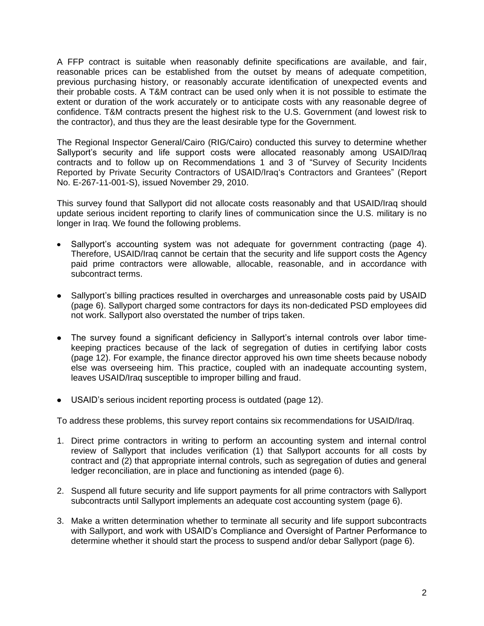A FFP contract is suitable when reasonably definite specifications are available, and fair, reasonable prices can be established from the outset by means of adequate competition, previous purchasing history, or reasonably accurate identification of unexpected events and their probable costs. A T&M contract can be used only when it is not possible to estimate the extent or duration of the work accurately or to anticipate costs with any reasonable degree of confidence. T&M contracts present the highest risk to the U.S. Government (and lowest risk to the contractor), and thus they are the least desirable type for the Government.

The Regional Inspector General/Cairo (RIG/Cairo) conducted this survey to determine whether Sallyport's security and life support costs were allocated reasonably among USAID/Iraq contracts and to follow up on Recommendations 1 and 3 of "Survey of Security Incidents Reported by Private Security Contractors of USAID/Iraq's Contractors and Grantees" (Report No. E-267-11-001-S), issued November 29, 2010.

This survey found that Sallyport did not allocate costs reasonably and that USAID/Iraq should update serious incident reporting to clarify lines of communication since the U.S. military is no longer in Iraq. We found the following problems.

- Sallyport's accounting system was not adequate for government contracting (page [4\)](#page-4-0). Therefore, USAID/Iraq cannot be certain that the security and life support costs the Agency paid prime contractors were allowable, allocable, reasonable, and in accordance with subcontract terms.
- Sallyport's billing practices resulted in overcharges and unreasonable costs paid by USAID (page [6\)](#page-6-0). Sallyport charged some contractors for days its non-dedicated PSD employees did not work. Sallyport also overstated the number of trips taken.
- The survey found a significant deficiency in Sallyport's internal controls over labor timekeeping practices because of the lack of segregation of duties in certifying labor costs (page 12). For example, the finance director approved his own time sheets because nobody else was overseeing him. This practice, coupled with an inadequate accounting system, leaves USAID/Iraq susceptible to improper billing and fraud.
- USAID's serious incident reporting process is outdated (page [12\)](#page-12-0).

To address these problems, this survey report contains six recommendations for USAID/Iraq.

- 1. Direct prime contractors in writing to perform an accounting system and internal control review of Sallyport that includes verification (1) that Sallyport accounts for all costs by contract and (2) that appropriate internal controls, such as segregation of duties and general ledger reconciliation, are in place and functioning as intended (page [6\)](#page-6-1).
- 2. Suspend all future security and life support payments for all prime contractors with Sallyport subcontracts until Sallyport implements an adequate cost accounting system (page [6\)](#page-6-2).
- 3. Make a written determination whether to terminate all security and life support subcontracts with Sallyport, and work with USAID's Compliance and Oversight of Partner Performance to determine whether it should start the process to suspend and/or debar Sallyport (page [6\)](#page-6-3).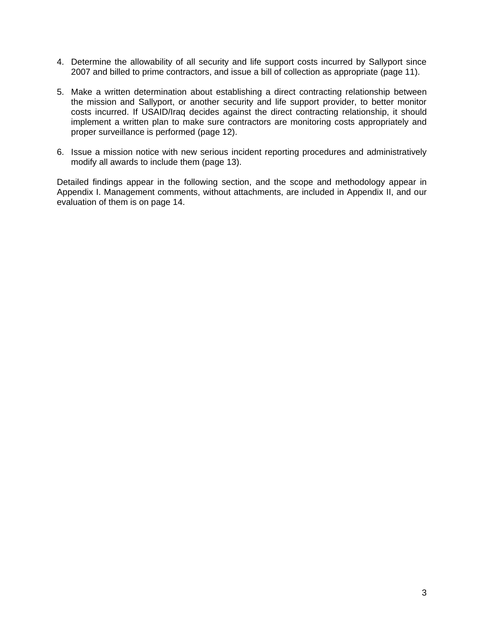- 4. Determine the allowability of all security and life support costs incurred by Sallyport since 2007 and billed to prime contractors, and issue a bill of collection as appropriate (page [11\)](#page-11-0).
- 5. Make a written determination about establishing a direct contracting relationship between the mission and Sallyport, or another security and life support provider, to better monitor costs incurred. If USAID/Iraq decides against the direct contracting relationship, it should implement a written plan to make sure contractors are monitoring costs appropriately and proper surveillance is performed (page [12\)](#page-12-1).
- 6. Issue a mission notice with new serious incident reporting procedures and administratively modify all awards to include them (page [13\)](#page-13-0).

Detailed findings appear in the following section, and the scope and methodology appear in Appendix I. Management comments, without attachments, are included in Appendix II, and our evaluation of them is on page [14.](#page-14-0)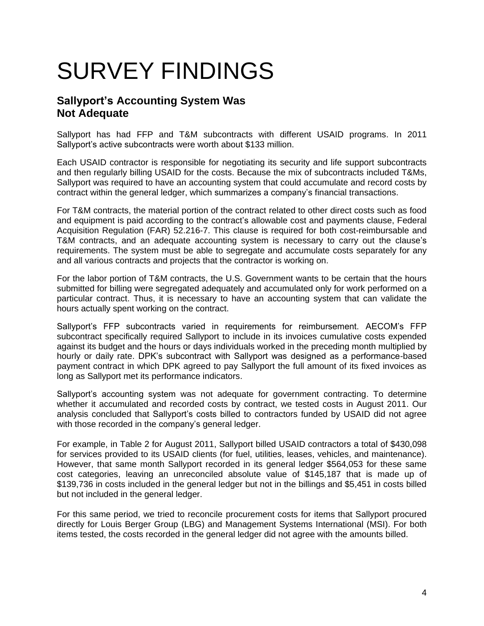# SURVEY FINDINGS

## <span id="page-4-0"></span>**Sallyport's Accounting System Was Not Adequate**

Sallyport has had FFP and T&M subcontracts with different USAID programs. In 2011 Sallyport's active subcontracts were worth about \$133 million.

Each USAID contractor is responsible for negotiating its security and life support subcontracts and then regularly billing USAID for the costs. Because the mix of subcontracts included T&Ms, Sallyport was required to have an accounting system that could accumulate and record costs by contract within the general ledger, which summarizes a company's financial transactions.

For T&M contracts, the material portion of the contract related to other direct costs such as food and equipment is paid according to the contract's allowable cost and payments clause, Federal Acquisition Regulation (FAR) 52.216-7. This clause is required for both cost-reimbursable and T&M contracts, and an adequate accounting system is necessary to carry out the clause's requirements. The system must be able to segregate and accumulate costs separately for any and all various contracts and projects that the contractor is working on.

For the labor portion of T&M contracts, the U.S. Government wants to be certain that the hours submitted for billing were segregated adequately and accumulated only for work performed on a particular contract. Thus, it is necessary to have an accounting system that can validate the hours actually spent working on the contract.

Sallyport's FFP subcontracts varied in requirements for reimbursement. AECOM's FFP subcontract specifically required Sallyport to include in its invoices cumulative costs expended against its budget and the hours or days individuals worked in the preceding month multiplied by hourly or daily rate. DPK's subcontract with Sallyport was designed as a performance-based payment contract in which DPK agreed to pay Sallyport the full amount of its fixed invoices as long as Sallyport met its performance indicators.

Sallyport's accounting system was not adequate for government contracting. To determine whether it accumulated and recorded costs by contract, we tested costs in August 2011. Our analysis concluded that Sallyport's costs billed to contractors funded by USAID did not agree with those recorded in the company's general ledger.

For example, in Table 2 for August 2011, Sallyport billed USAID contractors a total of \$430,098 for services provided to its USAID clients (for fuel, utilities, leases, vehicles, and maintenance). However, that same month Sallyport recorded in its general ledger \$564,053 for these same cost categories, leaving an unreconciled absolute value of \$145,187 that is made up of \$139,736 in costs included in the general ledger but not in the billings and \$5,451 in costs billed but not included in the general ledger.

For this same period, we tried to reconcile procurement costs for items that Sallyport procured directly for Louis Berger Group (LBG) and Management Systems International (MSI). For both items tested, the costs recorded in the general ledger did not agree with the amounts billed.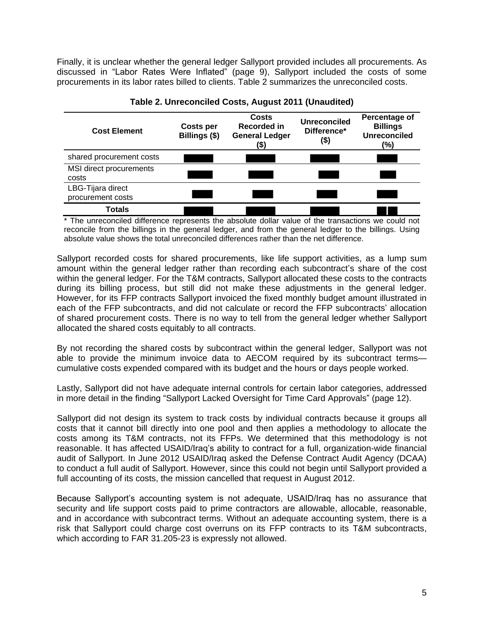Finally, it is unclear whether the general ledger Sallyport provided includes all procurements. As discussed in "Labor Rates Were Inflated" (page [9\)](#page-9-0), Sallyport included the costs of some procurements in its labor rates billed to clients. Table 2 summarizes the unreconciled costs.



**Table 2. Unreconciled Costs, August 2011 (Unaudited)**

\* The unreconciled difference represents the absolute dollar value of the transactions we could not reconcile from the billings in the general ledger, and from the general ledger to the billings. Using absolute value shows the total unreconciled differences rather than the net difference.

Sallyport recorded costs for shared procurements, like life support activities, as a lump sum amount within the general ledger rather than recording each subcontract's share of the cost within the general ledger. For the T&M contracts, Sallyport allocated these costs to the contracts during its billing process, but still did not make these adjustments in the general ledger. However, for its FFP contracts Sallyport invoiced the fixed monthly budget amount illustrated in each of the FFP subcontracts, and did not calculate or record the FFP subcontracts' allocation of shared procurement costs. There is no way to tell from the general ledger whether Sallyport allocated the shared costs equitably to all contracts.

By not recording the shared costs by subcontract within the general ledger, Sallyport was not able to provide the minimum invoice data to AECOM required by its subcontract terms cumulative costs expended compared with its budget and the hours or days people worked.

Lastly, Sallyport did not have adequate internal controls for certain labor categories, addressed in more detail in the finding "Sallyport Lacked Oversight for Time Card Approvals" (page 12).

Sallyport did not design its system to track costs by individual contracts because it groups all costs that it cannot bill directly into one pool and then applies a methodology to allocate the costs among its T&M contracts, not its FFPs. We determined that this methodology is not reasonable. It has affected USAID/Iraq's ability to contract for a full, organization-wide financial audit of Sallyport. In June 2012 USAID/Iraq asked the Defense Contract Audit Agency (DCAA) to conduct a full audit of Sallyport. However, since this could not begin until Sallyport provided a full accounting of its costs, the mission cancelled that request in August 2012.

Because Sallyport's accounting system is not adequate, USAID/Iraq has no assurance that security and life support costs paid to prime contractors are allowable, allocable, reasonable, and in accordance with subcontract terms. Without an adequate accounting system, there is a risk that Sallyport could charge cost overruns on its FFP contracts to its T&M subcontracts, which according to FAR 31.205-23 is expressly not allowed.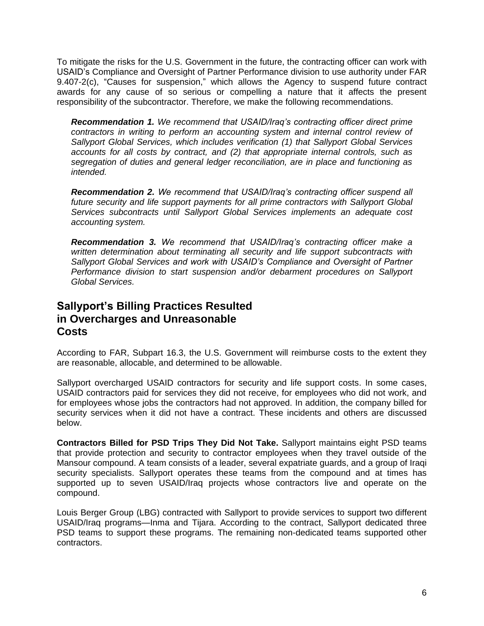To mitigate the risks for the U.S. Government in the future, the contracting officer can work with USAID's Compliance and Oversight of Partner Performance division to use authority under FAR 9.407-2(c), "Causes for suspension," which allows the Agency to suspend future contract awards for any cause of so serious or compelling a nature that it affects the present responsibility of the subcontractor. Therefore, we make the following recommendations.

<span id="page-6-1"></span>*Recommendation 1. We recommend that USAID/Iraq's contracting officer direct prime contractors in writing to perform an accounting system and internal control review of Sallyport Global Services, which includes verification (1) that Sallyport Global Services accounts for all costs by contract, and (2) that appropriate internal controls, such as segregation of duties and general ledger reconciliation, are in place and functioning as intended.*

<span id="page-6-2"></span>*Recommendation 2. We recommend that USAID/Iraq's contracting officer suspend all future security and life support payments for all prime contractors with Sallyport Global Services subcontracts until Sallyport Global Services implements an adequate cost accounting system.*

<span id="page-6-3"></span>*Recommendation 3. We recommend that USAID/Iraq's contracting officer make a written determination about terminating all security and life support subcontracts with*  Sallyport Global Services and work with USAID's Compliance and Oversight of Partner *Performance division to start suspension and/or debarment procedures on Sallyport Global Services.* 

### <span id="page-6-0"></span>**Sallyport's Billing Practices Resulted in Overcharges and Unreasonable Costs**

According to FAR, Subpart 16.3, the U.S. Government will reimburse costs to the extent they are reasonable, allocable, and determined to be allowable.

Sallyport overcharged USAID contractors for security and life support costs. In some cases, USAID contractors paid for services they did not receive, for employees who did not work, and for employees whose jobs the contractors had not approved. In addition, the company billed for security services when it did not have a contract. These incidents and others are discussed below.

**Contractors Billed for PSD Trips They Did Not Take.** Sallyport maintains eight PSD teams that provide protection and security to contractor employees when they travel outside of the Mansour compound. A team consists of a leader, several expatriate guards, and a group of Iraqi security specialists. Sallyport operates these teams from the compound and at times has supported up to seven USAID/Iraq projects whose contractors live and operate on the compound.

Louis Berger Group (LBG) contracted with Sallyport to provide services to support two different USAID/Iraq programs—Inma and Tijara. According to the contract, Sallyport dedicated three PSD teams to support these programs. The remaining non-dedicated teams supported other contractors.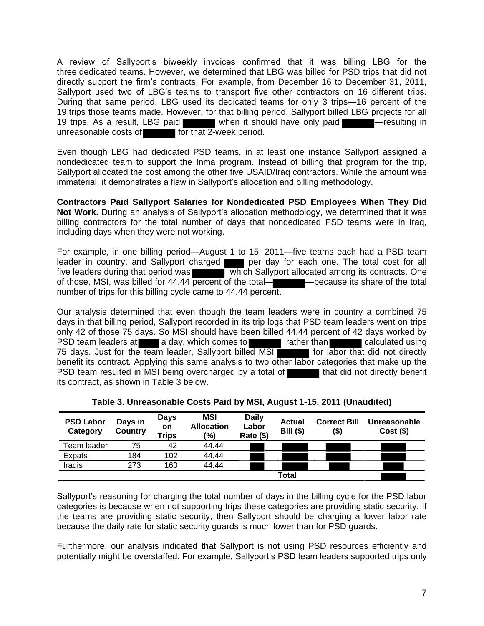A review of Sallyport's biweekly invoices confirmed that it was billing LBG for the three dedicated teams. However, we determined that LBG was billed for PSD trips that did not directly support the firm's contracts. For example, from December 16 to December 31, 2011, Sallyport used two of LBG's teams to transport five other contractors on 16 different trips. During that same period, LBG used its dedicated teams for only 3 trips—16 percent of the 19 trips those teams made. However, for that billing period, Sallyport billed LBG projects for all 19 trips. As a result, LBG paid when it should have only paid —resulting in unreasonable costs of  $\blacksquare$  for that 2-week period.

Even though LBG had dedicated PSD teams, in at least one instance Sallyport assigned a nondedicated team to support the Inma program. Instead of billing that program for the trip, Sallyport allocated the cost among the other five USAID/Iraq contractors. While the amount was immaterial, it demonstrates a flaw in Sallyport's allocation and billing methodology.

**Contractors Paid Sallyport Salaries for Nondedicated PSD Employees When They Did Not Work.** During an analysis of Sallyport's allocation methodology, we determined that it was billing contractors for the total number of days that nondedicated PSD teams were in Iraq, including days when they were not working.

For example, in one billing period—August 1 to 15, 2011—five teams each had a PSD team leader in country, and Sallyport charged per day for each one. The total cost for all five leaders during that period was which Sallyport allocated among its contracts. One of those, MSI, was billed for 44.44 percent of the total— —because its share of the total number of trips for this billing cycle came to 44.44 percent.

Our analysis determined that even though the team leaders were in country a combined 75 days in that billing period, Sallyport recorded in its trip logs that PSD team leaders went on trips only 42 of those 75 days. So MSI should have been billed 44.44 percent of 42 days worked by PSD team leaders at a day, which comes to rather than calculated using 75 days. Just for the team leader, Sallyport billed MSI benefit its contract. Applying this same analysis to two other labor categories that make up the PSD team resulted in MSI being overcharged by a total of the that did not directly benefit its contract, as shown in Table 3 below.

| <b>PSD Labor</b><br>Category | Days in<br>Country | <b>Days</b><br>on<br><b>Trips</b> | <b>MSI</b><br><b>Allocation</b><br>(%) | <b>Daily</b><br>Labor<br>Rate (\$) | <b>Actual</b><br><b>Bill (\$)</b> | <b>Correct Bill</b><br>(\$) | Unreasonable<br>$Cost($ \$) |
|------------------------------|--------------------|-----------------------------------|----------------------------------------|------------------------------------|-----------------------------------|-----------------------------|-----------------------------|
| Team leader                  | 75                 | 42                                | 44.44                                  |                                    |                                   |                             |                             |
| Expats                       | 184                | 102                               | 44.44                                  |                                    |                                   |                             |                             |
| Iraqis                       | 273                | 160                               | 44.44                                  |                                    |                                   |                             |                             |
|                              |                    | Total                             |                                        |                                    |                                   |                             |                             |

**Table 3. Unreasonable Costs Paid by MSI, August 1-15, 2011 (Unaudited)**

Sallyport's reasoning for charging the total number of days in the billing cycle for the PSD labor categories is because when not supporting trips these categories are providing static security. If the teams are providing static security, then Sallyport should be charging a lower labor rate because the daily rate for static security guards is much lower than for PSD guards.

Furthermore, our analysis indicated that Sallyport is not using PSD resources efficiently and potentially might be overstaffed. For example, Sallyport's PSD team leaders supported trips only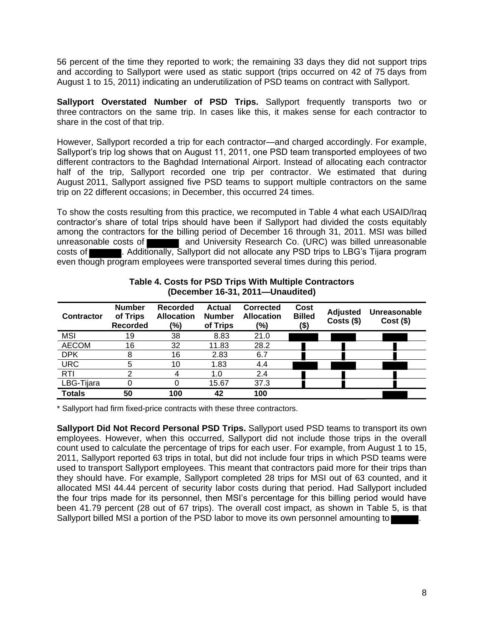56 percent of the time they reported to work; the remaining 33 days they did not support trips and according to Sallyport were used as static support (trips occurred on 42 of 75 days from August 1 to 15, 2011) indicating an underutilization of PSD teams on contract with Sallyport.

**Sallyport Overstated Number of PSD Trips.** Sallyport frequently transports two or three contractors on the same trip. In cases like this, it makes sense for each contractor to share in the cost of that trip.

However, Sallyport recorded a trip for each contractor—and charged accordingly. For example, Sallyport's trip log shows that on August 11, 2011, one PSD team transported employees of two different contractors to the Baghdad International Airport. Instead of allocating each contractor half of the trip, Sallyport recorded one trip per contractor. We estimated that during August 2011, Sallyport assigned five PSD teams to support multiple contractors on the same trip on 22 different occasions; in December, this occurred 24 times.

To show the costs resulting from this practice, we recomputed in Table 4 what each USAID/Iraq contractor's share of total trips should have been if Sallyport had divided the costs equitably among the contractors for the billing period of December 16 through 31, 2011. MSI was billed unreasonable costs of **and University Research Co. (URC)** was billed unreasonable costs of **Example 20.** Additionally, Sallyport did not allocate any PSD trips to LBG's Tijara program even though program employees were transported several times during this period.

| <b>Contractor</b> | <b>Number</b><br>of Trips<br><b>Recorded</b> | <b>Recorded</b><br><b>Allocation</b><br>(%) | <b>Actual</b><br><b>Number</b><br>of Trips | <b>Corrected</b><br><b>Allocation</b><br>(%) | Cost<br><b>Billed</b><br>(\$) | <b>Adjusted</b><br>$Costs$ (\$) | Unreasonable<br>$Cost($ \$) |
|-------------------|----------------------------------------------|---------------------------------------------|--------------------------------------------|----------------------------------------------|-------------------------------|---------------------------------|-----------------------------|
| <b>MSI</b>        | 19                                           | 38                                          | 8.83                                       | 21.0                                         |                               |                                 |                             |
| <b>AECOM</b>      | 16                                           | 32                                          | 11.83                                      | 28.2                                         |                               |                                 |                             |
| <b>DPK</b>        | 8                                            | 16                                          | 2.83                                       | 6.7                                          |                               |                                 |                             |
| <b>URC</b>        | 5                                            | 10                                          | 1.83                                       | 4.4                                          |                               |                                 |                             |
| <b>RTI</b>        |                                              |                                             | 1.0                                        | 2.4                                          |                               |                                 |                             |
| LBG-Tijara        |                                              |                                             | 15.67                                      | 37.3                                         |                               |                                 |                             |
| <b>Totals</b>     | 50                                           | 100                                         | 42                                         | 100                                          |                               |                                 |                             |

#### **Table 4. Costs for PSD Trips With Multiple Contractors (December 16-31, 2011—Unaudited)**

\* Sallyport had firm fixed-price contracts with these three contractors.

**Sallyport Did Not Record Personal PSD Trips.** Sallyport used PSD teams to transport its own employees. However, when this occurred, Sallyport did not include those trips in the overall count used to calculate the percentage of trips for each user. For example, from August 1 to 15, 2011, Sallyport reported 63 trips in total, but did not include four trips in which PSD teams were used to transport Sallyport employees. This meant that contractors paid more for their trips than they should have. For example, Sallyport completed 28 trips for MSI out of 63 counted, and it allocated MSI 44.44 percent of security labor costs during that period. Had Sallyport included the four trips made for its personnel, then MSI's percentage for this billing period would have been 41.79 percent (28 out of 67 trips). The overall cost impact, as shown in Table 5, is that Sallyport billed MSI a portion of the PSD labor to move its own personnel amounting to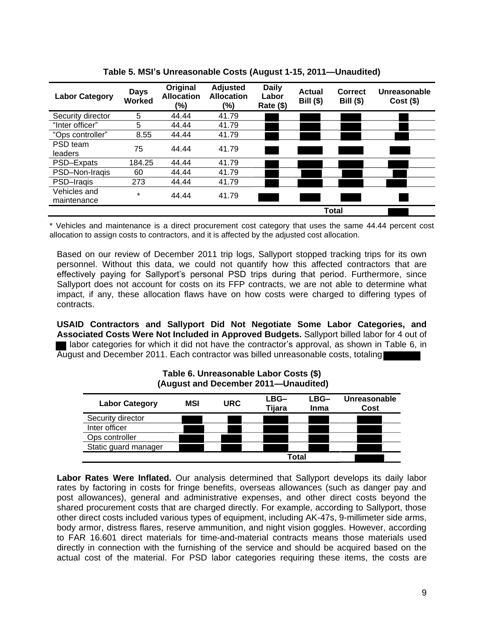| <b>Labor Category</b>       | <b>Days</b><br>Worked | Original<br><b>Allocation</b><br>(%) | <b>Adjusted</b><br><b>Allocation</b><br>(%) | <b>Daily</b><br>Labor<br>Rate (\$) | <b>Actual</b><br><b>Bill (\$)</b> | <b>Correct</b><br><b>Bill</b> (\$) | Unreasonable<br>$Cost($ \$) |
|-----------------------------|-----------------------|--------------------------------------|---------------------------------------------|------------------------------------|-----------------------------------|------------------------------------|-----------------------------|
| Security director           | 5                     | 44.44                                | 41.79                                       |                                    |                                   |                                    |                             |
| "Inter officer"             | 5                     | 44.44                                | 41.79                                       |                                    |                                   |                                    |                             |
| "Ops controller"            | 8.55                  | 44.44                                | 41.79                                       |                                    |                                   |                                    |                             |
| PSD team<br>leaders         | 75                    | 44.44                                | 41.79                                       |                                    |                                   |                                    |                             |
| PSD-Expats                  | 184.25                | 44.44                                | 41.79                                       |                                    |                                   |                                    |                             |
| PSD-Non-Iraqis              | 60                    | 44.44                                | 41.79                                       |                                    |                                   |                                    |                             |
| PSD-Iragis                  | 273                   | 44.44                                | 41.79                                       |                                    |                                   |                                    |                             |
| Vehicles and<br>maintenance | $\star$               | 44.44                                | 41.79                                       |                                    |                                   |                                    |                             |
|                             |                       |                                      |                                             |                                    |                                   | Total                              |                             |

\* Vehicles and maintenance is a direct procurement cost category that uses the same 44.44 percent cost allocation to assign costs to contractors, and it is affected by the adjusted cost allocation.

Based on our review of December 2011 trip logs, Sallyport stopped tracking trips for its own personnel. Without this data, we could not quantify how this affected contractors that are effectively paying for Sallyport's personal PSD trips during that period. Furthermore, since Sallyport does not account for costs on its FFP contracts, we are not able to determine what impact, if any, these allocation flaws have on how costs were charged to differing types of contracts.

**USAID Contractors and Sallyport Did Not Negotiate Some Labor Categories, and Associated Costs Were Not Included in Approved Budgets.** Sallyport billed labor for 4 out of I labor categories for which it did not have the contractor's approval, as shown in Table 6, in August and December 2011. Each contractor was billed unreasonable costs, totaling

| <b>Labor Category</b> | MSI | <b>URC</b> | LBG-<br>Tijara | LBG-<br><b>Inma</b> | Unreasonable<br>Cost |
|-----------------------|-----|------------|----------------|---------------------|----------------------|
| Security director     |     |            |                |                     |                      |
| Inter officer         |     |            |                |                     |                      |
| Ops controller        |     |            |                |                     |                      |
| Static guard manager  |     |            |                |                     |                      |
|                       |     |            | Total          |                     |                      |

#### **Table 6. Unreasonable Labor Costs (\$) (August and December 2011—Unaudited)**

<span id="page-9-0"></span>**Labor Rates Were Inflated.** Our analysis determined that Sallyport develops its daily labor rates by factoring in costs for fringe benefits, overseas allowances (such as danger pay and post allowances), general and administrative expenses, and other direct costs beyond the shared procurement costs that are charged directly. For example, according to Sallyport, those other direct costs included various types of equipment, including AK-47s, 9-millimeter side arms, body armor, distress flares, reserve ammunition, and night vision goggles. However, according to FAR 16.601 direct materials for time-and-material contracts means those materials used directly in connection with the furnishing of the service and should be acquired based on the actual cost of the material. For PSD labor categories requiring these items, the costs are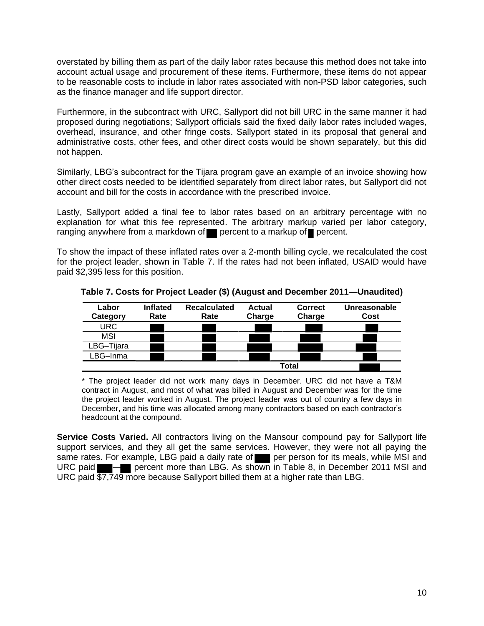overstated by billing them as part of the daily labor rates because this method does not take into account actual usage and procurement of these items. Furthermore, these items do not appear to be reasonable costs to include in labor rates associated with non-PSD labor categories, such as the finance manager and life support director.

Furthermore, in the subcontract with URC, Sallyport did not bill URC in the same manner it had proposed during negotiations; Sallyport officials said the fixed daily labor rates included wages, overhead, insurance, and other fringe costs. Sallyport stated in its proposal that general and administrative costs, other fees, and other direct costs would be shown separately, but this did not happen.

Similarly, LBG's subcontract for the Tijara program gave an example of an invoice showing how other direct costs needed to be identified separately from direct labor rates, but Sallyport did not account and bill for the costs in accordance with the prescribed invoice.

Lastly, Sallyport added a final fee to labor rates based on an arbitrary percentage with no explanation for what this fee represented. The arbitrary markup varied per labor category, ranging anywhere from a markdown of percent to a markup of percent.

To show the impact of these inflated rates over a 2-month billing cycle, we recalculated the cost for the project leader, shown in Table 7. If the rates had not been inflated, USAID would have paid \$2,395 less for this position.

| Labor      | <b>Inflated</b> | <b>Recalculated</b> | <b>Actual</b> | <b>Correct</b> | Unreasonable |
|------------|-----------------|---------------------|---------------|----------------|--------------|
| Category   | Rate            | Rate                | Charge        | Charge         | Cost         |
| URC        |                 |                     |               |                |              |
| <b>MSI</b> |                 |                     |               |                |              |
| LBG-Tijara |                 |                     |               |                |              |
| LBG–Inma   |                 |                     |               |                |              |
|            |                 |                     |               | Total          |              |

**Table 7. Costs for Project Leader (\$) (August and December 2011—Unaudited)**

\* The project leader did not work many days in December. URC did not have a T&M contract in August, and most of what was billed in August and December was for the time the project leader worked in August. The project leader was out of country a few days in December, and his time was allocated among many contractors based on each contractor's headcount at the compound.

**Service Costs Varied.** All contractors living on the Mansour compound pay for Sallyport life support services, and they all get the same services. However, they were not all paying the same rates. For example, LBG paid a daily rate of per person for its meals, while MSI and URC paid **In the percent more than LBG. As shown in Table 8, in December 2011 MSI and** URC paid \$7,749 more because Sallyport billed them at a higher rate than LBG.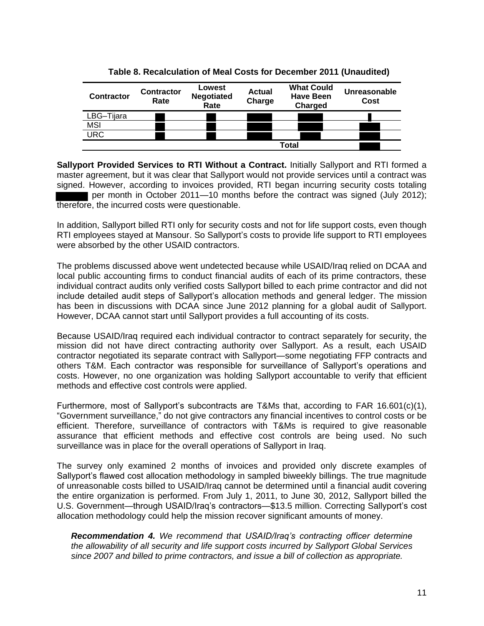| <b>Contractor</b>       | <b>Contractor</b><br>Rate | Lowest<br><b>Negotiated</b><br>Rate | <b>Actual</b><br>Charge | <b>What Could</b><br><b>Have Been</b><br>Charged | Unreasonable<br>Cost |
|-------------------------|---------------------------|-------------------------------------|-------------------------|--------------------------------------------------|----------------------|
| LBG-Tijara              |                           |                                     |                         |                                                  |                      |
| <b>MSI</b>              |                           |                                     |                         |                                                  |                      |
| $\overline{\text{URC}}$ |                           |                                     |                         |                                                  |                      |
| Total                   |                           |                                     |                         |                                                  |                      |

**Table 8. Recalculation of Meal Costs for December 2011 (Unaudited)**

Sallyport Provided Services to RTI Without a Contract. Initially Sallyport and RTI formed a master agreement, but it was clear that Sallyport would not provide services until a contract was signed. However, according to invoices provided, RTI began incurring security costs totaling per month in October 2011—10 months before the contract was signed (July 2012); therefore, the incurred costs were questionable.

In addition, Sallyport billed RTI only for security costs and not for life support costs, even though RTI employees stayed at Mansour. So Sallyport's costs to provide life support to RTI employees were absorbed by the other USAID contractors.

The problems discussed above went undetected because while USAID/Iraq relied on DCAA and local public accounting firms to conduct financial audits of each of its prime contractors, these individual contract audits only verified costs Sallyport billed to each prime contractor and did not include detailed audit steps of Sallyport's allocation methods and general ledger. The mission has been in discussions with DCAA since June 2012 planning for a global audit of Sallyport. However, DCAA cannot start until Sallyport provides a full accounting of its costs.

Because USAID/Iraq required each individual contractor to contract separately for security, the mission did not have direct contracting authority over Sallyport. As a result, each USAID contractor negotiated its separate contract with Sallyport—some negotiating FFP contracts and others T&M. Each contractor was responsible for surveillance of Sallyport's operations and costs. However, no one organization was holding Sallyport accountable to verify that efficient methods and effective cost controls were applied.

Furthermore, most of Sallyport's subcontracts are T&Ms that, according to FAR 16.601(c)(1), "Government surveillance," do not give contractors any financial incentives to control costs or be efficient. Therefore, surveillance of contractors with T&Ms is required to give reasonable assurance that efficient methods and effective cost controls are being used. No such surveillance was in place for the overall operations of Sallyport in Iraq.

The survey only examined 2 months of invoices and provided only discrete examples of Sallyport's flawed cost allocation methodology in sampled biweekly billings. The true magnitude of unreasonable costs billed to USAID/Iraq cannot be determined until a financial audit covering the entire organization is performed. From July 1, 2011, to June 30, 2012, Sallyport billed the U.S. Government—through USAID/Iraq's contractors—\$13.5 million. Correcting Sallyport's cost allocation methodology could help the mission recover significant amounts of money.

<span id="page-11-0"></span>*Recommendation 4. We recommend that USAID/Iraq's contracting officer determine the allowability of all security and life support costs incurred by Sallyport Global Services since 2007 and billed to prime contractors, and issue a bill of collection as appropriate.*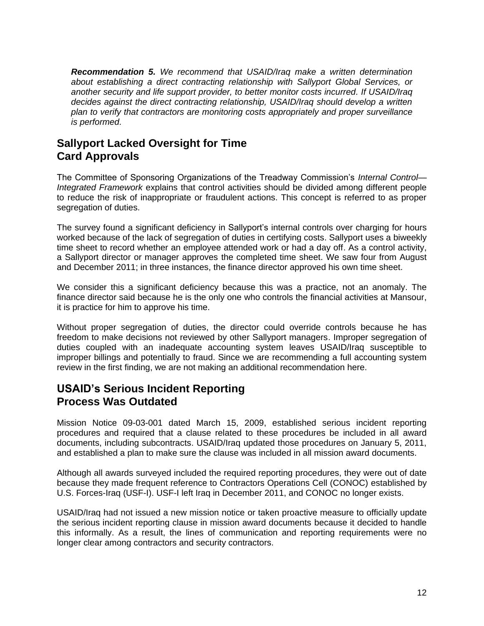<span id="page-12-1"></span>*Recommendation 5. We recommend that USAID/Iraq make a written determination about establishing a direct contracting relationship with Sallyport Global Services, or another security and life support provider, to better monitor costs incurred. If USAID/Iraq decides against the direct contracting relationship, USAID/Iraq should develop a written plan to verify that contractors are monitoring costs appropriately and proper surveillance is performed.*

## **Sallyport Lacked Oversight for Time Card Approvals**

The Committee of Sponsoring Organizations of the Treadway Commission's *Internal Control— Integrated Framework* explains that control activities should be divided among different people to reduce the risk of inappropriate or fraudulent actions. This concept is referred to as proper segregation of duties.

The survey found a significant deficiency in Sallyport's internal controls over charging for hours worked because of the lack of segregation of duties in certifying costs. Sallyport uses a biweekly time sheet to record whether an employee attended work or had a day off. As a control activity, a Sallyport director or manager approves the completed time sheet. We saw four from August and December 2011; in three instances, the finance director approved his own time sheet.

We consider this a significant deficiency because this was a practice, not an anomaly. The finance director said because he is the only one who controls the financial activities at Mansour, it is practice for him to approve his time.

Without proper segregation of duties, the director could override controls because he has freedom to make decisions not reviewed by other Sallyport managers. Improper segregation of duties coupled with an inadequate accounting system leaves USAID/Iraq susceptible to improper billings and potentially to fraud. Since we are recommending a full accounting system review in the first finding, we are not making an additional recommendation here.

## <span id="page-12-0"></span>**USAID's Serious Incident Reporting Process Was Outdated**

Mission Notice 09-03-001 dated March 15, 2009, established serious incident reporting procedures and required that a clause related to these procedures be included in all award documents, including subcontracts. USAID/Iraq updated those procedures on January 5, 2011, and established a plan to make sure the clause was included in all mission award documents.

Although all awards surveyed included the required reporting procedures, they were out of date because they made frequent reference to Contractors Operations Cell (CONOC) established by U.S. Forces-Iraq (USF-I). USF-I left Iraq in December 2011, and CONOC no longer exists.

USAID/Iraq had not issued a new mission notice or taken proactive measure to officially update the serious incident reporting clause in mission award documents because it decided to handle this informally. As a result, the lines of communication and reporting requirements were no longer clear among contractors and security contractors.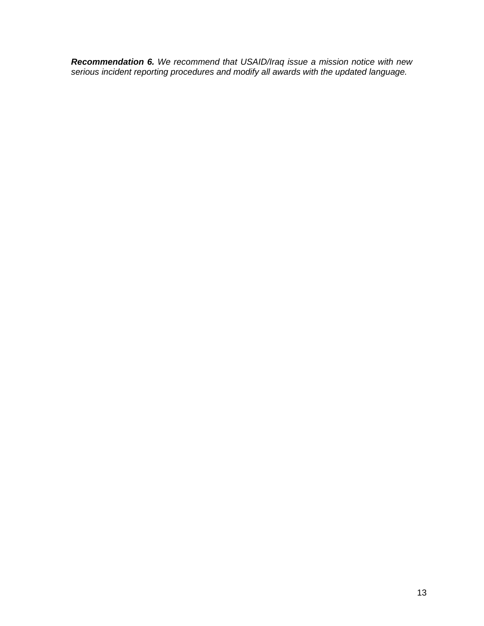<span id="page-13-0"></span>*Recommendation 6. We recommend that USAID/Iraq issue a mission notice with new serious incident reporting procedures and modify all awards with the updated language.*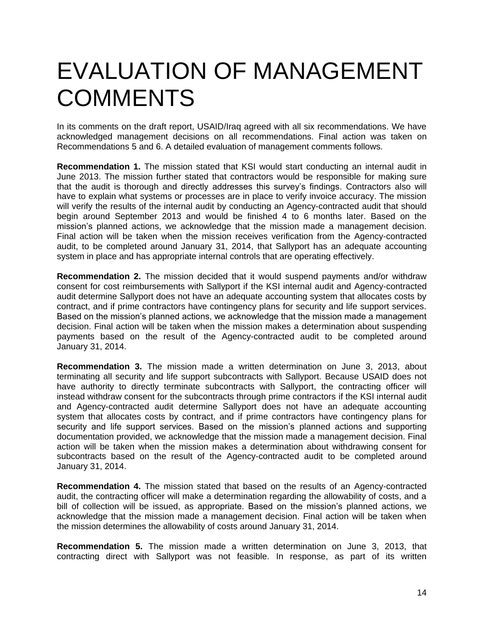## <span id="page-14-0"></span>EVALUATION OF MANAGEMENT **COMMENTS**

In its comments on the draft report, USAID/Iraq agreed with all six recommendations. We have acknowledged management decisions on all recommendations. Final action was taken on Recommendations 5 and 6. A detailed evaluation of management comments follows.

**Recommendation 1.** The mission stated that KSI would start conducting an internal audit in June 2013. The mission further stated that contractors would be responsible for making sure that the audit is thorough and directly addresses this survey's findings. Contractors also will have to explain what systems or processes are in place to verify invoice accuracy. The mission will verify the results of the internal audit by conducting an Agency-contracted audit that should begin around September 2013 and would be finished 4 to 6 months later. Based on the mission's planned actions, we acknowledge that the mission made a management decision. Final action will be taken when the mission receives verification from the Agency-contracted audit, to be completed around January 31, 2014, that Sallyport has an adequate accounting system in place and has appropriate internal controls that are operating effectively.

**Recommendation 2.** The mission decided that it would suspend payments and/or withdraw consent for cost reimbursements with Sallyport if the KSI internal audit and Agency-contracted audit determine Sallyport does not have an adequate accounting system that allocates costs by contract, and if prime contractors have contingency plans for security and life support services. Based on the mission's planned actions, we acknowledge that the mission made a management decision. Final action will be taken when the mission makes a determination about suspending payments based on the result of the Agency-contracted audit to be completed around January 31, 2014.

**Recommendation 3.** The mission made a written determination on June 3, 2013, about terminating all security and life support subcontracts with Sallyport. Because USAID does not have authority to directly terminate subcontracts with Sallyport, the contracting officer will instead withdraw consent for the subcontracts through prime contractors if the KSI internal audit and Agency-contracted audit determine Sallyport does not have an adequate accounting system that allocates costs by contract, and if prime contractors have contingency plans for security and life support services. Based on the mission's planned actions and supporting documentation provided, we acknowledge that the mission made a management decision. Final action will be taken when the mission makes a determination about withdrawing consent for subcontracts based on the result of the Agency-contracted audit to be completed around January 31, 2014.

**Recommendation 4.** The mission stated that based on the results of an Agency-contracted audit, the contracting officer will make a determination regarding the allowability of costs, and a bill of collection will be issued, as appropriate. Based on the mission's planned actions, we acknowledge that the mission made a management decision. Final action will be taken when the mission determines the allowability of costs around January 31, 2014.

**Recommendation 5.** The mission made a written determination on June 3, 2013, that contracting direct with Sallyport was not feasible. In response, as part of its written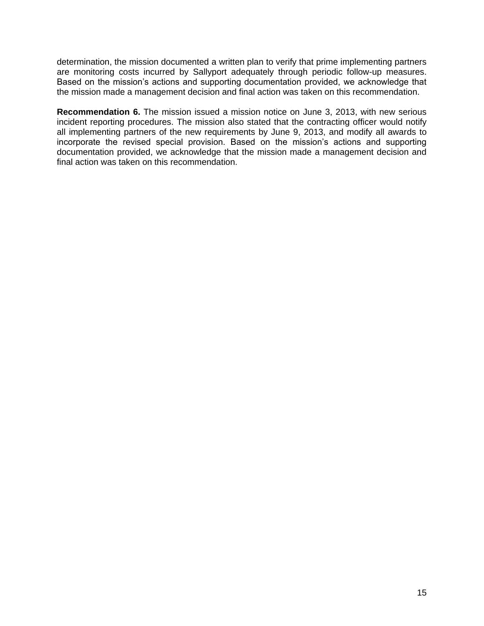determination, the mission documented a written plan to verify that prime implementing partners are monitoring costs incurred by Sallyport adequately through periodic follow-up measures. Based on the mission's actions and supporting documentation provided, we acknowledge that the mission made a management decision and final action was taken on this recommendation.

**Recommendation 6.** The mission issued a mission notice on June 3, 2013, with new serious incident reporting procedures. The mission also stated that the contracting officer would notify all implementing partners of the new requirements by June 9, 2013, and modify all awards to incorporate the revised special provision. Based on the mission's actions and supporting documentation provided, we acknowledge that the mission made a management decision and final action was taken on this recommendation.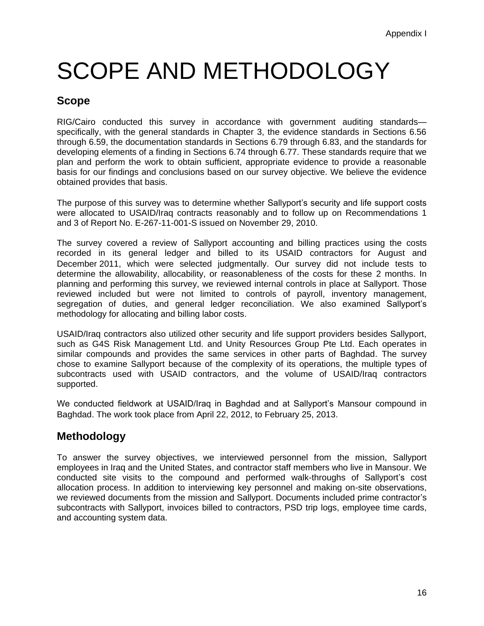# SCOPE AND METHODOLOGY

### **Scope**

RIG/Cairo conducted this survey in accordance with government auditing standards specifically, with the general standards in Chapter 3, the evidence standards in Sections 6.56 through 6.59, the documentation standards in Sections 6.79 through 6.83, and the standards for developing elements of a finding in Sections 6.74 through 6.77. These standards require that we plan and perform the work to obtain sufficient, appropriate evidence to provide a reasonable basis for our findings and conclusions based on our survey objective. We believe the evidence obtained provides that basis.

The purpose of this survey was to determine whether Sallyport's security and life support costs were allocated to USAID/Iraq contracts reasonably and to follow up on Recommendations 1 and 3 of Report No. E-267-11-001-S issued on November 29, 2010.

The survey covered a review of Sallyport accounting and billing practices using the costs recorded in its general ledger and billed to its USAID contractors for August and December 2011, which were selected judgmentally. Our survey did not include tests to determine the allowability, allocability, or reasonableness of the costs for these 2 months. In planning and performing this survey, we reviewed internal controls in place at Sallyport. Those reviewed included but were not limited to controls of payroll, inventory management, segregation of duties, and general ledger reconciliation. We also examined Sallyport's methodology for allocating and billing labor costs.

USAID/Iraq contractors also utilized other security and life support providers besides Sallyport, such as G4S Risk Management Ltd. and Unity Resources Group Pte Ltd. Each operates in similar compounds and provides the same services in other parts of Baghdad. The survey chose to examine Sallyport because of the complexity of its operations, the multiple types of subcontracts used with USAID contractors, and the volume of USAID/Iraq contractors supported.

We conducted fieldwork at USAID/Iraq in Baghdad and at Sallyport's Mansour compound in Baghdad. The work took place from April 22, 2012, to February 25, 2013.

## **Methodology**

To answer the survey objectives, we interviewed personnel from the mission, Sallyport employees in Iraq and the United States, and contractor staff members who live in Mansour. We conducted site visits to the compound and performed walk-throughs of Sallyport's cost allocation process. In addition to interviewing key personnel and making on-site observations, we reviewed documents from the mission and Sallyport. Documents included prime contractor's subcontracts with Sallyport, invoices billed to contractors, PSD trip logs, employee time cards, and accounting system data.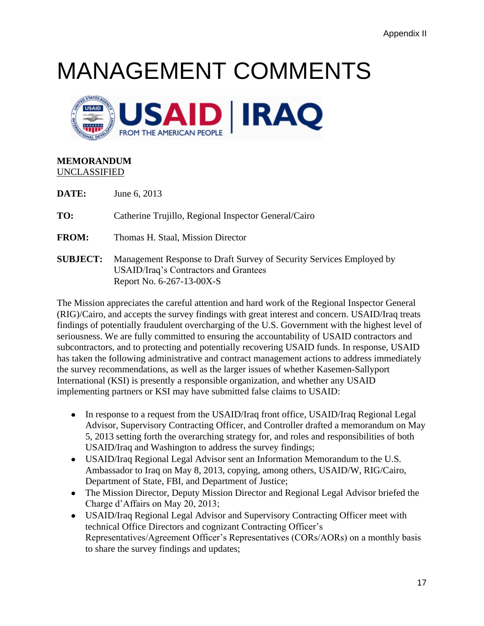# MANAGEMENT COMMENTS



### **MEMORANDUM** UNCLASSIFIED

**DATE:** June 6, 2013

**TO:** Catherine Trujillo, Regional Inspector General/Cairo

**FROM:** Thomas H. Staal, Mission Director

**SUBJECT:** Management Response to Draft Survey of Security Services Employed by USAID/Iraq's Contractors and Grantees Report No. 6-267-13-00X-S

The Mission appreciates the careful attention and hard work of the Regional Inspector General (RIG)/Cairo, and accepts the survey findings with great interest and concern. USAID/Iraq treats findings of potentially fraudulent overcharging of the U.S. Government with the highest level of seriousness. We are fully committed to ensuring the accountability of USAID contractors and subcontractors, and to protecting and potentially recovering USAID funds. In response, USAID has taken the following administrative and contract management actions to address immediately the survey recommendations, as well as the larger issues of whether Kasemen-Sallyport International (KSI) is presently a responsible organization, and whether any USAID implementing partners or KSI may have submitted false claims to USAID:

- In response to a request from the USAID/Iraq front office, USAID/Iraq Regional Legal Advisor, Supervisory Contracting Officer, and Controller drafted a memorandum on May 5, 2013 setting forth the overarching strategy for, and roles and responsibilities of both USAID/Iraq and Washington to address the survey findings;
- USAID/Iraq Regional Legal Advisor sent an Information Memorandum to the U.S. Ambassador to Iraq on May 8, 2013, copying, among others, USAID/W, RIG/Cairo, Department of State, FBI, and Department of Justice;
- The Mission Director, Deputy Mission Director and Regional Legal Advisor briefed the Charge d'Affairs on May 20, 2013;
- USAID/Iraq Regional Legal Advisor and Supervisory Contracting Officer meet with technical Office Directors and cognizant Contracting Officer's Representatives/Agreement Officer's Representatives (CORs/AORs) on a monthly basis to share the survey findings and updates;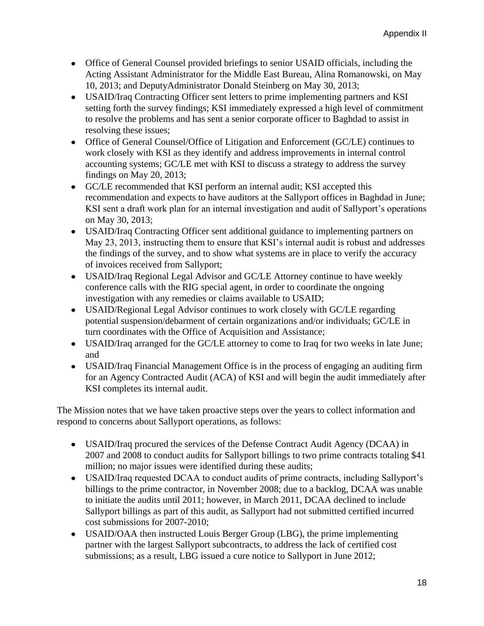- Office of General Counsel provided briefings to senior USAID officials, including the Acting Assistant Administrator for the Middle East Bureau, Alina Romanowski, on May 10, 2013; and DeputyAdministrator Donald Steinberg on May 30, 2013;
- USAID/Iraq Contracting Officer sent letters to prime implementing partners and KSI setting forth the survey findings; KSI immediately expressed a high level of commitment to resolve the problems and has sent a senior corporate officer to Baghdad to assist in resolving these issues;
- Office of General Counsel/Office of Litigation and Enforcement (GC/LE) continues to work closely with KSI as they identify and address improvements in internal control accounting systems; GC/LE met with KSI to discuss a strategy to address the survey findings on May 20, 2013;
- GC/LE recommended that KSI perform an internal audit; KSI accepted this recommendation and expects to have auditors at the Sallyport offices in Baghdad in June; KSI sent a draft work plan for an internal investigation and audit of Sallyport's operations on May 30, 2013;
- USAID/Iraq Contracting Officer sent additional guidance to implementing partners on May 23, 2013, instructing them to ensure that KSI's internal audit is robust and addresses the findings of the survey, and to show what systems are in place to verify the accuracy of invoices received from Sallyport;
- USAID/Iraq Regional Legal Advisor and GC/LE Attorney continue to have weekly conference calls with the RIG special agent, in order to coordinate the ongoing investigation with any remedies or claims available to USAID;
- USAID/Regional Legal Advisor continues to work closely with GC/LE regarding potential suspension/debarment of certain organizations and/or individuals; GC/LE in turn coordinates with the Office of Acquisition and Assistance;
- USAID/Iraq arranged for the GC/LE attorney to come to Iraq for two weeks in late June; and
- USAID/Iraq Financial Management Office is in the process of engaging an auditing firm for an Agency Contracted Audit (ACA) of KSI and will begin the audit immediately after KSI completes its internal audit.

The Mission notes that we have taken proactive steps over the years to collect information and respond to concerns about Sallyport operations, as follows:

- USAID/Iraq procured the services of the Defense Contract Audit Agency (DCAA) in 2007 and 2008 to conduct audits for Sallyport billings to two prime contracts totaling \$41 million; no major issues were identified during these audits;
- USAID/Iraq requested DCAA to conduct audits of prime contracts, including Sallyport's billings to the prime contractor, in November 2008; due to a backlog, DCAA was unable to initiate the audits until 2011; however, in March 2011, DCAA declined to include Sallyport billings as part of this audit, as Sallyport had not submitted certified incurred cost submissions for 2007-2010;
- USAID/OAA then instructed Louis Berger Group (LBG), the prime implementing partner with the largest Sallyport subcontracts, to address the lack of certified cost submissions; as a result, LBG issued a cure notice to Sallyport in June 2012;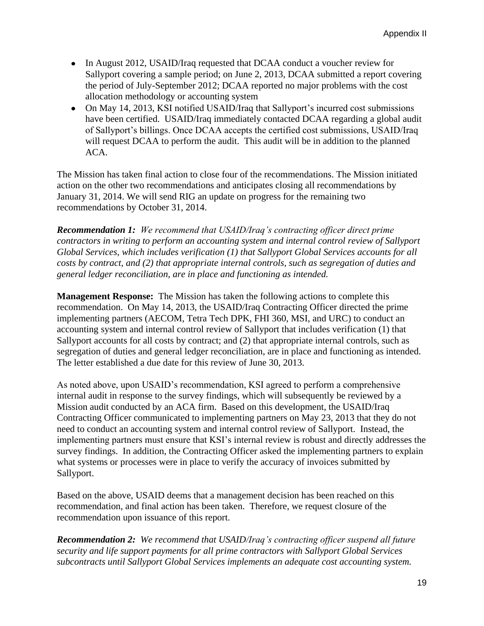- In August 2012, USAID/Iraq requested that DCAA conduct a voucher review for Sallyport covering a sample period; on June 2, 2013, DCAA submitted a report covering the period of July-September 2012; DCAA reported no major problems with the cost allocation methodology or accounting system
- On May 14, 2013, KSI notified USAID/Iraq that Sallyport's incurred cost submissions have been certified. USAID/Iraq immediately contacted DCAA regarding a global audit of Sallyport's billings. Once DCAA accepts the certified cost submissions, USAID/Iraq will request DCAA to perform the audit. This audit will be in addition to the planned ACA.

The Mission has taken final action to close four of the recommendations. The Mission initiated action on the other two recommendations and anticipates closing all recommendations by January 31, 2014. We will send RIG an update on progress for the remaining two recommendations by October 31, 2014.

*Recommendation 1: We recommend that USAID/Iraq's contracting officer direct prime contractors in writing to perform an accounting system and internal control review of Sallyport Global Services, which includes verification (1) that Sallyport Global Services accounts for all costs by contract, and (2) that appropriate internal controls, such as segregation of duties and general ledger reconciliation, are in place and functioning as intended.* 

**Management Response:** The Mission has taken the following actions to complete this recommendation. On May 14, 2013, the USAID/Iraq Contracting Officer directed the prime implementing partners (AECOM, Tetra Tech DPK, FHI 360, MSI, and URC) to conduct an accounting system and internal control review of Sallyport that includes verification (1) that Sallyport accounts for all costs by contract; and (2) that appropriate internal controls, such as segregation of duties and general ledger reconciliation, are in place and functioning as intended. The letter established a due date for this review of June 30, 2013.

As noted above, upon USAID's recommendation, KSI agreed to perform a comprehensive internal audit in response to the survey findings, which will subsequently be reviewed by a Mission audit conducted by an ACA firm. Based on this development, the USAID/Iraq Contracting Officer communicated to implementing partners on May 23, 2013 that they do not need to conduct an accounting system and internal control review of Sallyport. Instead, the implementing partners must ensure that KSI's internal review is robust and directly addresses the survey findings. In addition, the Contracting Officer asked the implementing partners to explain what systems or processes were in place to verify the accuracy of invoices submitted by Sallyport.

Based on the above, USAID deems that a management decision has been reached on this recommendation, and final action has been taken. Therefore, we request closure of the recommendation upon issuance of this report.

*Recommendation 2: We recommend that USAID/Iraq's contracting officer suspend all future security and life support payments for all prime contractors with Sallyport Global Services subcontracts until Sallyport Global Services implements an adequate cost accounting system.*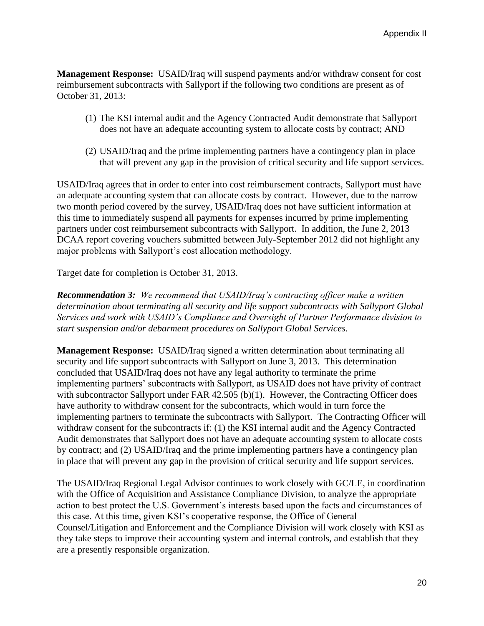**Management Response:** USAID/Iraq will suspend payments and/or withdraw consent for cost reimbursement subcontracts with Sallyport if the following two conditions are present as of October 31, 2013:

- (1) The KSI internal audit and the Agency Contracted Audit demonstrate that Sallyport does not have an adequate accounting system to allocate costs by contract; AND
- (2) USAID/Iraq and the prime implementing partners have a contingency plan in place that will prevent any gap in the provision of critical security and life support services.

USAID/Iraq agrees that in order to enter into cost reimbursement contracts, Sallyport must have an adequate accounting system that can allocate costs by contract. However, due to the narrow two month period covered by the survey, USAID/Iraq does not have sufficient information at this time to immediately suspend all payments for expenses incurred by prime implementing partners under cost reimbursement subcontracts with Sallyport. In addition, the June 2, 2013 DCAA report covering vouchers submitted between July-September 2012 did not highlight any major problems with Sallyport's cost allocation methodology.

Target date for completion is October 31, 2013.

*Recommendation 3: We recommend that USAID/Iraq's contracting officer make a written determination about terminating all security and life support subcontracts with Sallyport Global Services and work with USAID's Compliance and Oversight of Partner Performance division to start suspension and/or debarment procedures on Sallyport Global Services.* 

**Management Response:** USAID/Iraq signed a written determination about terminating all security and life support subcontracts with Sallyport on June 3, 2013. This determination concluded that USAID/Iraq does not have any legal authority to terminate the prime implementing partners' subcontracts with Sallyport, as USAID does not have privity of contract with subcontractor Sallyport under FAR 42.505 (b)(1). However, the Contracting Officer does have authority to withdraw consent for the subcontracts, which would in turn force the implementing partners to terminate the subcontracts with Sallyport. The Contracting Officer will withdraw consent for the subcontracts if: (1) the KSI internal audit and the Agency Contracted Audit demonstrates that Sallyport does not have an adequate accounting system to allocate costs by contract; and (2) USAID/Iraq and the prime implementing partners have a contingency plan in place that will prevent any gap in the provision of critical security and life support services.

The USAID/Iraq Regional Legal Advisor continues to work closely with GC/LE, in coordination with the Office of Acquisition and Assistance Compliance Division, to analyze the appropriate action to best protect the U.S. Government's interests based upon the facts and circumstances of this case. At this time, given KSI's cooperative response, the Office of General Counsel/Litigation and Enforcement and the Compliance Division will work closely with KSI as they take steps to improve their accounting system and internal controls, and establish that they are a presently responsible organization.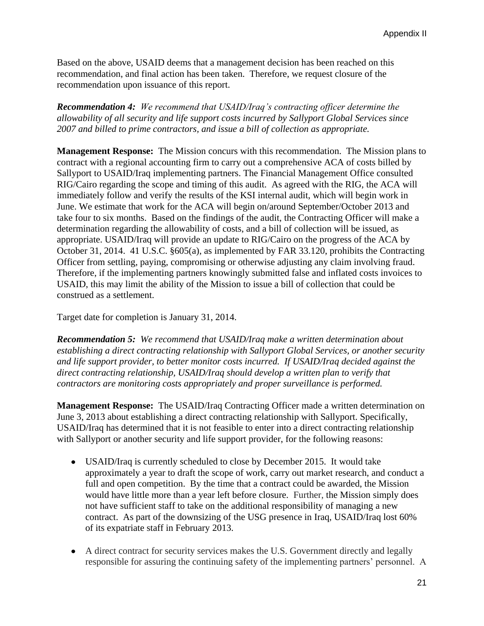Based on the above, USAID deems that a management decision has been reached on this recommendation, and final action has been taken. Therefore, we request closure of the recommendation upon issuance of this report.

*Recommendation 4: We recommend that USAID/Iraq's contracting officer determine the allowability of all security and life support costs incurred by Sallyport Global Services since 2007 and billed to prime contractors, and issue a bill of collection as appropriate.* 

**Management Response:** The Mission concurs with this recommendation. The Mission plans to contract with a regional accounting firm to carry out a comprehensive ACA of costs billed by Sallyport to USAID/Iraq implementing partners. The Financial Management Office consulted RIG/Cairo regarding the scope and timing of this audit. As agreed with the RIG, the ACA will immediately follow and verify the results of the KSI internal audit, which will begin work in June. We estimate that work for the ACA will begin on/around September/October 2013 and take four to six months. Based on the findings of the audit, the Contracting Officer will make a determination regarding the allowability of costs, and a bill of collection will be issued, as appropriate. USAID/Iraq will provide an update to RIG/Cairo on the progress of the ACA by October 31, 2014. 41 U.S.C. §605(a), as implemented by FAR 33.120, prohibits the Contracting Officer from settling, paying, compromising or otherwise adjusting any claim involving fraud. Therefore, if the implementing partners knowingly submitted false and inflated costs invoices to USAID, this may limit the ability of the Mission to issue a bill of collection that could be construed as a settlement.

Target date for completion is January 31, 2014.

*Recommendation 5: We recommend that USAID/Iraq make a written determination about establishing a direct contracting relationship with Sallyport Global Services, or another security and life support provider, to better monitor costs incurred. If USAID/Iraq decided against the direct contracting relationship, USAID/Iraq should develop a written plan to verify that contractors are monitoring costs appropriately and proper surveillance is performed.*

**Management Response:** The USAID/Iraq Contracting Officer made a written determination on June 3, 2013 about establishing a direct contracting relationship with Sallyport. Specifically, USAID/Iraq has determined that it is not feasible to enter into a direct contracting relationship with Sallyport or another security and life support provider, for the following reasons:

- USAID/Iraq is currently scheduled to close by December 2015. It would take approximately a year to draft the scope of work, carry out market research, and conduct a full and open competition. By the time that a contract could be awarded, the Mission would have little more than a year left before closure. Further, the Mission simply does not have sufficient staff to take on the additional responsibility of managing a new contract. As part of the downsizing of the USG presence in Iraq, USAID/Iraq lost 60% of its expatriate staff in February 2013.
- A direct contract for security services makes the U.S. Government directly and legally responsible for assuring the continuing safety of the implementing partners' personnel. A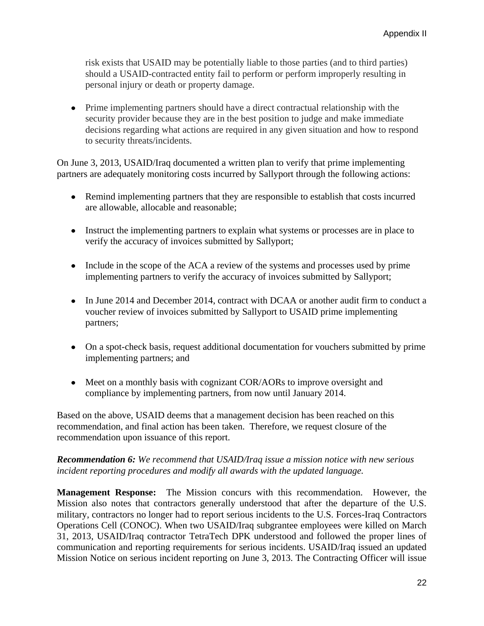risk exists that USAID may be potentially liable to those parties (and to third parties) should a USAID-contracted entity fail to perform or perform improperly resulting in personal injury or death or property damage.

Prime implementing partners should have a direct contractual relationship with the security provider because they are in the best position to judge and make immediate decisions regarding what actions are required in any given situation and how to respond to security threats/incidents.

On June 3, 2013, USAID/Iraq documented a written plan to verify that prime implementing partners are adequately monitoring costs incurred by Sallyport through the following actions:

- Remind implementing partners that they are responsible to establish that costs incurred are allowable, allocable and reasonable;
- Instruct the implementing partners to explain what systems or processes are in place to verify the accuracy of invoices submitted by Sallyport;
- Include in the scope of the ACA a review of the systems and processes used by prime implementing partners to verify the accuracy of invoices submitted by Sallyport;
- In June 2014 and December 2014, contract with DCAA or another audit firm to conduct a voucher review of invoices submitted by Sallyport to USAID prime implementing partners;
- On a spot-check basis, request additional documentation for vouchers submitted by prime implementing partners; and
- Meet on a monthly basis with cognizant COR/AORs to improve oversight and compliance by implementing partners, from now until January 2014.

Based on the above, USAID deems that a management decision has been reached on this recommendation, and final action has been taken. Therefore, we request closure of the recommendation upon issuance of this report.

### *Recommendation 6: We recommend that USAID/Iraq issue a mission notice with new serious incident reporting procedures and modify all awards with the updated language.*

**Management Response:** The Mission concurs with this recommendation. However, the Mission also notes that contractors generally understood that after the departure of the U.S. military, contractors no longer had to report serious incidents to the U.S. Forces-Iraq Contractors Operations Cell (CONOC). When two USAID/Iraq subgrantee employees were killed on March 31, 2013, USAID/Iraq contractor TetraTech DPK understood and followed the proper lines of communication and reporting requirements for serious incidents. USAID/Iraq issued an updated Mission Notice on serious incident reporting on June 3, 2013. The Contracting Officer will issue